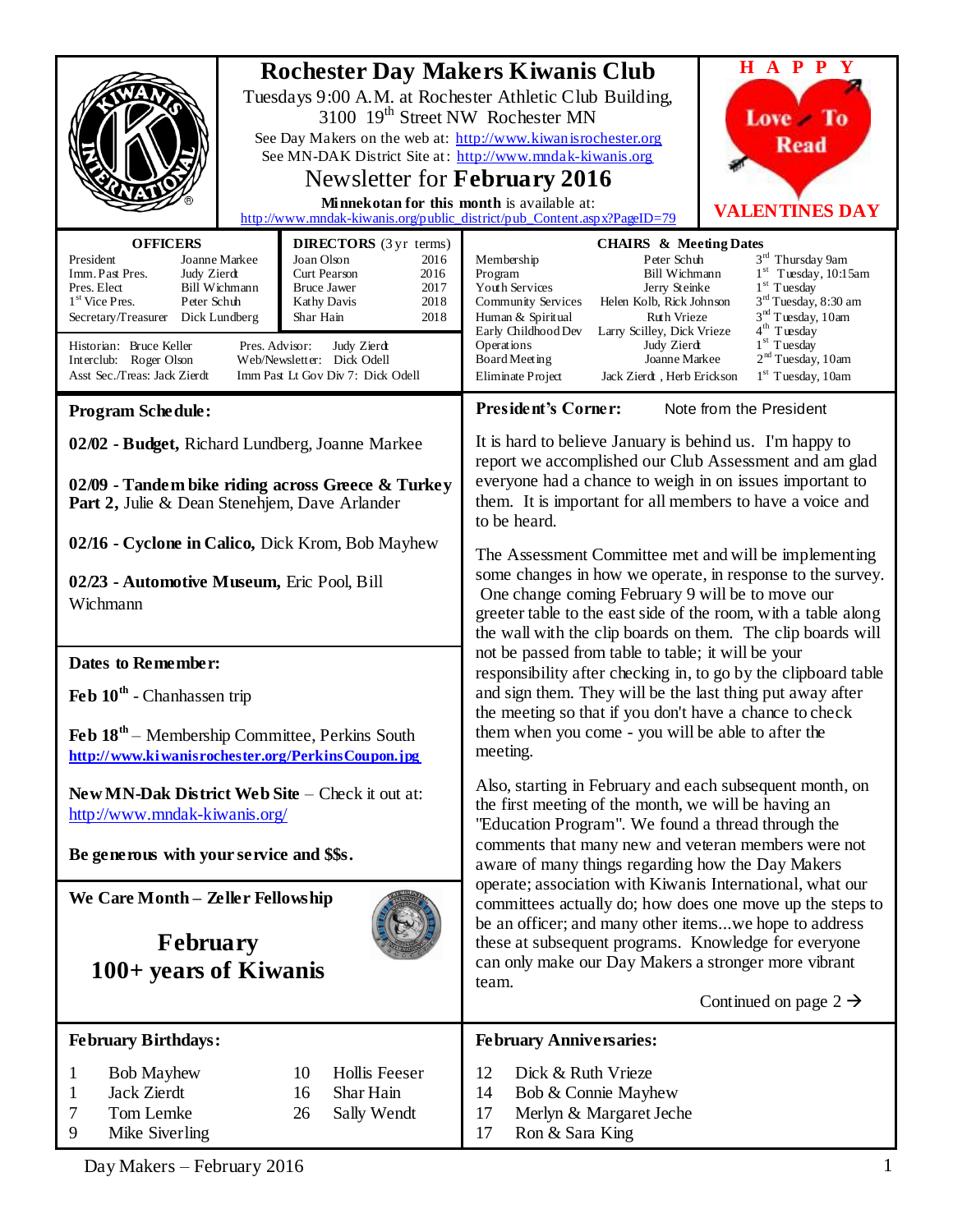|                                                                                                                                                                                                                                                                                                                                                                                                                                                                                                                                           | 3100 19 <sup>th</sup> Street NW Rochester MN<br>Newsletter for <b>February</b> 2016<br>Minnekotan for this month is available at: | <b>Rochester Day Makers Kiwanis Club</b><br>Tuesdays 9:00 A.M. at Rochester Athletic Club Building,<br>See Day Makers on the web at: http://www.kiwanisrochester.org<br>See MN-DAK District Site at: http://www.mndak-kiwanis.org<br>http://www.mndak-kiwanis.org/public_district/pub_Content.aspx?PageID=79                                                                                                                                                                                                                                                                                                                        | $H$ A P P $\overline{Y}$<br>Love To<br><b>Read</b><br><b>VALENTINES DAY</b>                                                                                                                                                                   |  |
|-------------------------------------------------------------------------------------------------------------------------------------------------------------------------------------------------------------------------------------------------------------------------------------------------------------------------------------------------------------------------------------------------------------------------------------------------------------------------------------------------------------------------------------------|-----------------------------------------------------------------------------------------------------------------------------------|-------------------------------------------------------------------------------------------------------------------------------------------------------------------------------------------------------------------------------------------------------------------------------------------------------------------------------------------------------------------------------------------------------------------------------------------------------------------------------------------------------------------------------------------------------------------------------------------------------------------------------------|-----------------------------------------------------------------------------------------------------------------------------------------------------------------------------------------------------------------------------------------------|--|
| <b>OFFICERS</b><br><b>DIRECTORS</b> (3 yr terms)<br>President<br>Joanne Markee<br>Joan Olson<br>2016<br>Imm. Past Pres.<br>Curt Pearson<br>Judy Zierdt<br>2016<br>Pres. Elect<br>Bill Wichmann<br><b>Bruce Jawer</b><br>2017<br>$1st$ Vice Pres.<br>Peter Schuh<br>2018<br>Kathy Davis<br>Secretary/Treasurer Dick Lundberg<br>2018<br>Shar Hain<br>Historian: Bruce Keller<br>Pres. Advisor:<br>Judy Zierdt<br>Web/Newsletter: Dick Odell<br>Interclub: Roger Olson<br>Asst Sec./Treas: Jack Zierdt<br>Imm Past Lt Gov Div 7: Dick Odell |                                                                                                                                   | <b>CHAIRS &amp; Meeting Dates</b><br>Peter Schuh<br>Membership<br>Bill Wichmann<br>Program<br>Youth Services<br>Jerry Steinke<br>Helen Kolb, Rick Johnson<br>Community Services<br>Ruth Vrieze<br>Human & Spiritual<br>Early Childhood Dev<br>Larry Scilley, Dick Vrieze<br>Operations<br>Judy Zierdt<br>Board Meeting<br>Joanne Markee<br>Jack Zierdt, Herb Erickson<br>Eliminate Project                                                                                                                                                                                                                                          | $3^{\rm rd}$ Thursday 9am<br>$1st$ Tuesday, 10:15am<br>$1st$ Tuesday<br>3 <sup>rd</sup> Tuesday, 8:30 am<br>3 <sup>nd</sup> Tuesday, 10am<br>4 <sup>th</sup> Tuesday<br>$1st$ Tuesday<br>2 <sup>nd</sup> Tuesday, 10am<br>$1st$ Tuesday, 10am |  |
| <b>Program Schedule:</b>                                                                                                                                                                                                                                                                                                                                                                                                                                                                                                                  |                                                                                                                                   | President's Corner:<br>Note from the President                                                                                                                                                                                                                                                                                                                                                                                                                                                                                                                                                                                      |                                                                                                                                                                                                                                               |  |
| 02/02 - Budget, Richard Lundberg, Joanne Markee<br>02/09 - Tandem bike riding across Greece & Turkey<br>Part 2, Julie & Dean Stenehjem, Dave Arlander<br>02/16 - Cyclone in Calico, Dick Krom, Bob Mayhew                                                                                                                                                                                                                                                                                                                                 |                                                                                                                                   | It is hard to believe January is behind us. I'm happy to<br>report we accomplished our Club Assessment and am glad<br>everyone had a chance to weigh in on issues important to<br>them. It is important for all members to have a voice and<br>to be heard.<br>The Assessment Committee met and will be implementing                                                                                                                                                                                                                                                                                                                |                                                                                                                                                                                                                                               |  |
| 02/23 - Automotive Museum, Eric Pool, Bill<br>Wichmann                                                                                                                                                                                                                                                                                                                                                                                                                                                                                    |                                                                                                                                   | some changes in how we operate, in response to the survey.<br>One change coming February 9 will be to move our<br>greeter table to the east side of the room, with a table along<br>the wall with the clip boards on them. The clip boards will                                                                                                                                                                                                                                                                                                                                                                                     |                                                                                                                                                                                                                                               |  |
| Dates to Remember:<br>Feb 10 <sup>th</sup> - Chanhassen trip<br>Feb $18th$ – Membership Committee, Perkins South<br>http://www.kiwanisrochester.org/PerkinsCoupon.jpg                                                                                                                                                                                                                                                                                                                                                                     |                                                                                                                                   | not be passed from table to table; it will be your<br>responsibility after checking in, to go by the clipboard table<br>and sign them. They will be the last thing put away after<br>the meeting so that if you don't have a chance to check<br>them when you come - you will be able to after the<br>meeting.                                                                                                                                                                                                                                                                                                                      |                                                                                                                                                                                                                                               |  |
| $\textbf{New}$ MN-Dak District Web Site – Check it out at:<br>http://www.mndak-kiwanis.org/<br>Be generous with your service and \$\$s.                                                                                                                                                                                                                                                                                                                                                                                                   |                                                                                                                                   | Also, starting in February and each subsequent month, on<br>the first meeting of the month, we will be having an<br>"Education Program". We found a thread through the<br>comments that many new and veteran members were not<br>aware of many things regarding how the Day Makers<br>operate; association with Kiwanis International, what our<br>committees actually do; how does one move up the steps to<br>be an officer; and many other itemswe hope to address<br>these at subsequent programs. Knowledge for everyone<br>can only make our Day Makers a stronger more vibrant<br>team.<br>Continued on page $2 \rightarrow$ |                                                                                                                                                                                                                                               |  |
| We Care Month - Zeller Fellowship<br><b>February</b><br>100+ years of Kiwanis                                                                                                                                                                                                                                                                                                                                                                                                                                                             |                                                                                                                                   |                                                                                                                                                                                                                                                                                                                                                                                                                                                                                                                                                                                                                                     |                                                                                                                                                                                                                                               |  |
| <b>February Birthdays:</b>                                                                                                                                                                                                                                                                                                                                                                                                                                                                                                                |                                                                                                                                   | <b>February Anniversaries:</b>                                                                                                                                                                                                                                                                                                                                                                                                                                                                                                                                                                                                      |                                                                                                                                                                                                                                               |  |
| <b>Bob Mayhew</b><br>1<br>Jack Zierdt<br>1<br>Tom Lemke<br>7<br>9<br>Mike Siverling                                                                                                                                                                                                                                                                                                                                                                                                                                                       | <b>Hollis Feeser</b><br>10<br>Shar Hain<br>16<br>26<br>Sally Wendt                                                                | 12<br>Dick & Ruth Vrieze<br>Bob & Connie Mayhew<br>14<br>17<br>Merlyn & Margaret Jeche<br>17<br>Ron & Sara King                                                                                                                                                                                                                                                                                                                                                                                                                                                                                                                     |                                                                                                                                                                                                                                               |  |

Day Makers – February 2016 1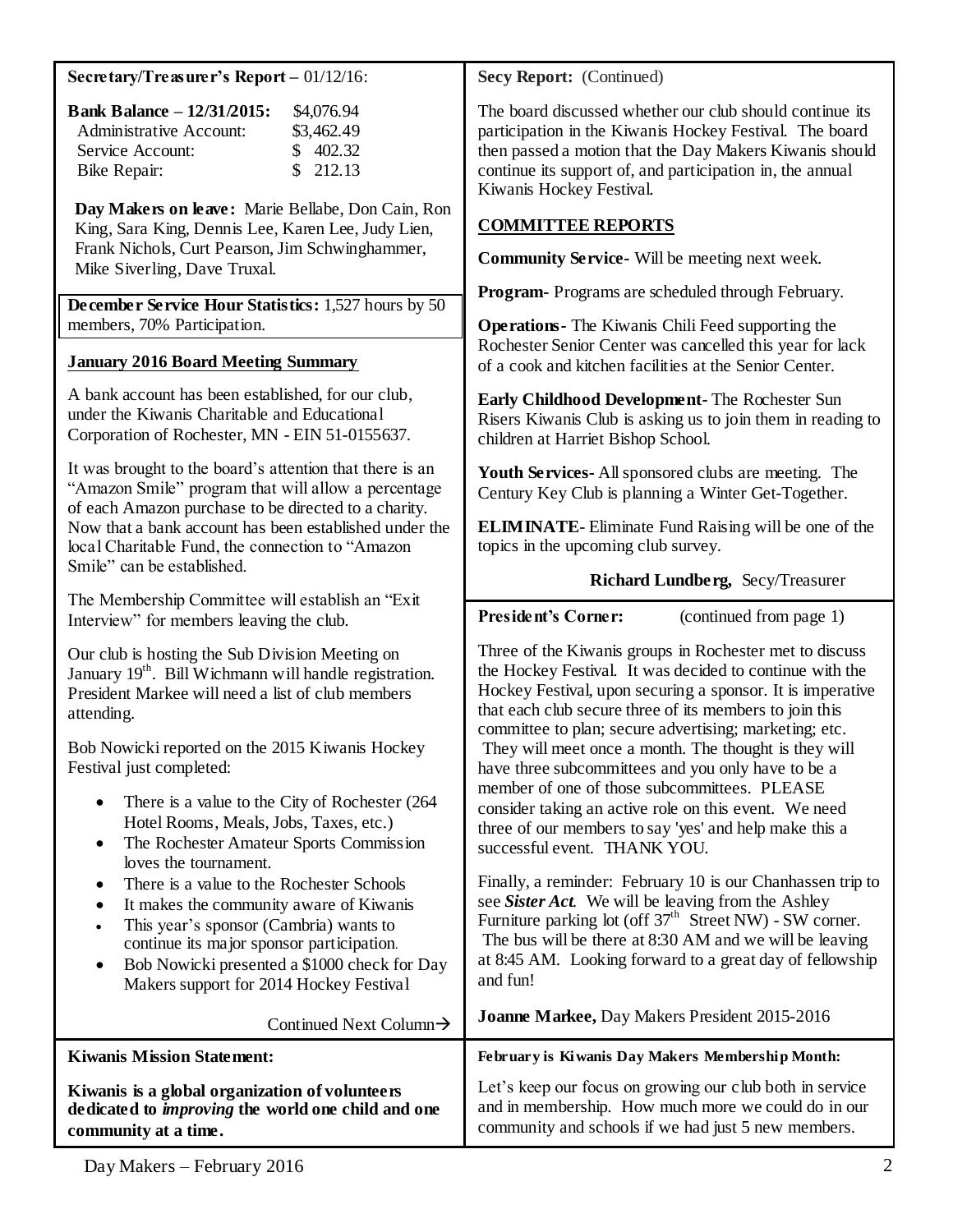#### **Secretary/Treasurer's Report –** 01/12/16:

| <b>Bank Balance - 12/31/2015:</b> | \$4,076.94 |
|-----------------------------------|------------|
| Administrative Account:           | \$3,462.49 |
| Service Account:                  | \$402.32   |
| Bike Repair:                      | \$212.13   |

**Day Makers on leave:** Marie Bellabe, Don Cain, Ron King, Sara King, Dennis Lee, Karen Lee, Judy Lien, Frank Nichols, Curt Pearson, Jim Schwinghammer, Mike Siverling, Dave Truxal.

**December Service Hour Statistics:** 1,527 hours by 50 members, 70% Participation.

#### **January 2016 Board Meeting Summary**

A bank account has been established, for our club, under the Kiwanis Charitable and Educational Corporation of Rochester, MN - EIN 51-0155637.

It was brought to the board's attention that there is an "Amazon Smile" program that will allow a percentage of each Amazon purchase to be directed to a charity. Now that a bank account has been established under the local Charitable Fund, the connection to "Amazon Smile" can be established.

The Membership Committee will establish an "Exit Interview" for members leaving the club.

Our club is hosting the Sub Division Meeting on January 19<sup>th</sup>. Bill Wichmann will handle registration. President Markee will need a list of club members attending.

Bob Nowicki reported on the 2015 Kiwanis Hockey Festival just completed:

- There is a value to the City of Rochester (264) Hotel Rooms, Meals, Jobs, Taxes, etc.)
- The Rochester Amateur Sports Commission loves the tournament.
- There is a value to the Rochester Schools
- It makes the community aware of Kiwanis
- This year's sponsor (Cambria) wants to continue its major sponsor participation.
- Bob Nowicki presented a \$1000 check for Day Makers support for 2014 Hockey Festival

 $Control$  Next  $Column \rightarrow$ 

**COMMITTEE REPORTS**

Kiwanis Hockey Festival.

**Secy Report:** (Continued)

**Community Service-** Will be meeting next week.

**Program-** Programs are scheduled through February.

**Operations-** The Kiwanis Chili Feed supporting the Rochester Senior Center was cancelled this year for lack of a cook and kitchen facilities at the Senior Center.

The board discussed whether our club should continue its participation in the Kiwanis Hockey Festival. The board then passed a motion that the Day Makers Kiwanis should continue its support of, and participation in, the annual

**Early Childhood Development-** The Rochester Sun Risers Kiwanis Club is asking us to join them in reading to children at Harriet Bishop School.

**Youth Services-** All sponsored clubs are meeting. The Century Key Club is planning a Winter Get-Together.

**ELIMINATE**- Eliminate Fund Raising will be one of the topics in the upcoming club survey.

## **Richard Lundberg,** Secy/Treasurer

**President's Corner:** (continued from page 1)

Three of the Kiwanis groups in Rochester met to discuss the Hockey Festival. It was decided to continue with the Hockey Festival, upon securing a sponsor. It is imperative that each club secure three of its members to join this committee to plan; secure advertising; marketing; etc. They will meet once a month. The thought is they will have three subcommittees and you only have to be a member of one of those subcommittees. PLEASE consider taking an active role on this event. We need three of our members to say 'yes' and help make this a successful event. THANK YOU.

Finally, a reminder: February 10 is our Chanhassen trip to see *Sister Act*. We will be leaving from the Ashley Furniture parking lot (off  $37<sup>th</sup>$  Street NW) - SW corner. The bus will be there at 8:30 AM and we will be leaving at 8:45 AM. Looking forward to a great day of fellowship and fun!

**Joanne Markee,** Day Makers President 2015-2016

| Commica Incal Column 7                                                                                                              |                                                                                                                                                                        |
|-------------------------------------------------------------------------------------------------------------------------------------|------------------------------------------------------------------------------------------------------------------------------------------------------------------------|
| <b>Kiwanis Mission Statement:</b>                                                                                                   | February is Kiwanis Day Makers Membership Month:                                                                                                                       |
| Kiwanis is a global organization of volunteers<br>dedicated to <i>improving</i> the world one child and one<br>community at a time. | Let's keep our focus on growing our club both in service<br>and in membership. How much more we could do in our<br>community and schools if we had just 5 new members. |